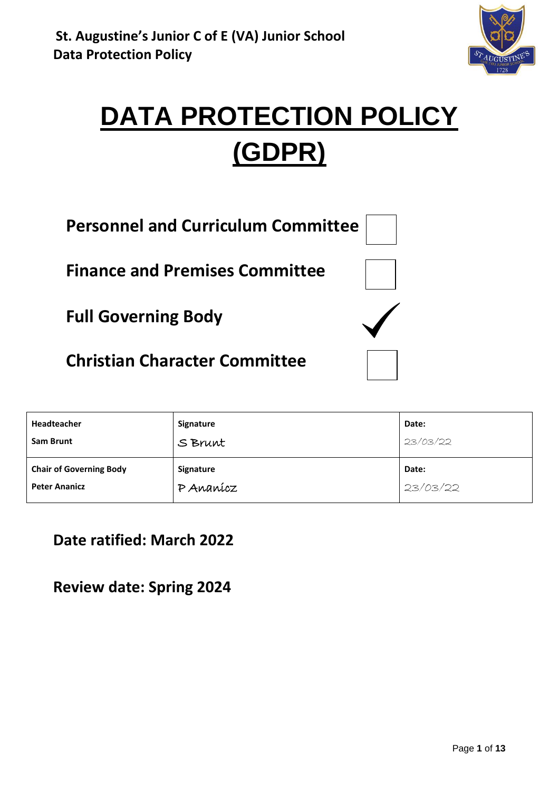

# **DATA PROTECTION POLICY (GDPR)**

| Personnel and Curriculum Committee    |  |
|---------------------------------------|--|
| <b>Finance and Premises Committee</b> |  |
| <b>Full Governing Body</b>            |  |
| <b>Christian Character Committee</b>  |  |

| Headteacher                    | Signature        | Date:    |
|--------------------------------|------------------|----------|
| <b>Sam Brunt</b>               | S Brunt          | 23/03/22 |
| <b>Chair of Governing Body</b> | <b>Signature</b> | Date:    |
| <b>Peter Ananicz</b>           | P Ananícz        | 23/03/22 |

**Date ratified: March 2022**

**Review date: Spring 2024**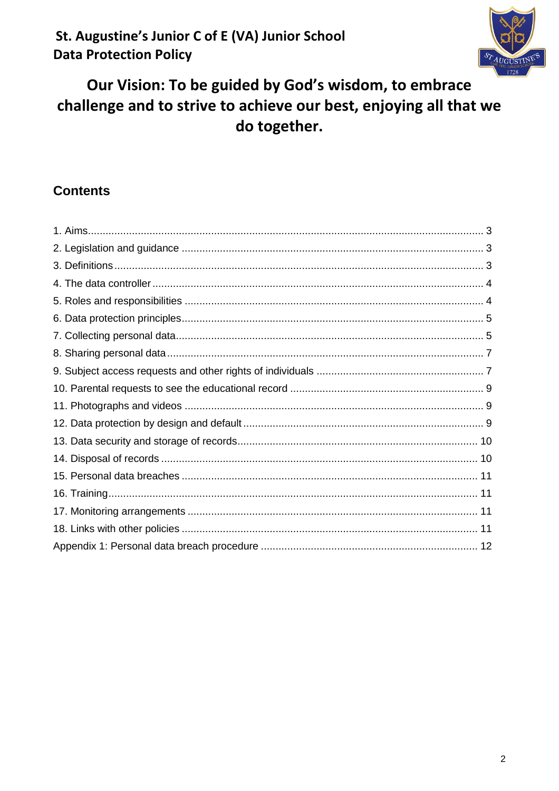

# Our Vision: To be guided by God's wisdom, to embrace challenge and to strive to achieve our best, enjoying all that we do together.

# **Contents**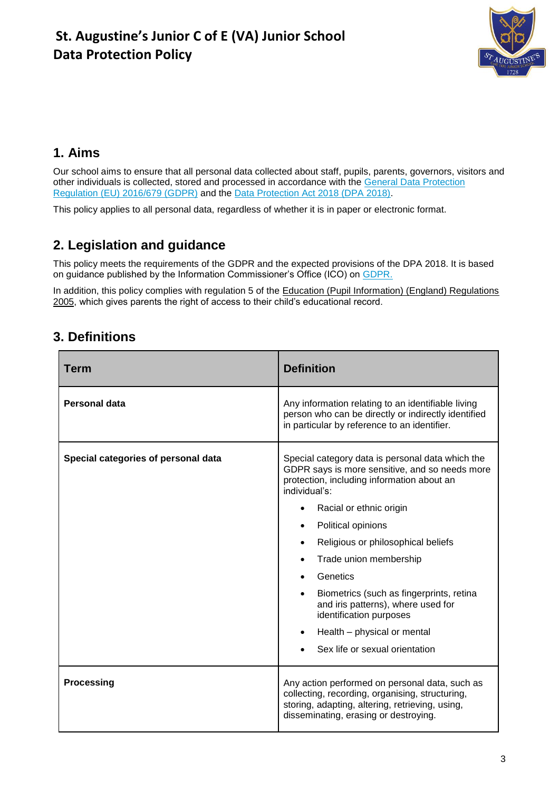

# **1. Aims**

Our school aims to ensure that all personal data collected about staff, pupils, parents, governors, visitors and other individuals is collected, stored and processed in accordance with the [General Data Protection](https://eur-lex.europa.eu/legal-content/EN/TXT/?qid=1528874672298&uri=CELEX:02016R0679-20160504)  [Regulation \(EU\) 2016/679 \(GDPR\)](https://eur-lex.europa.eu/legal-content/EN/TXT/?qid=1528874672298&uri=CELEX:02016R0679-20160504) and the [Data Protection Act 2018 \(DPA 2018\).](http://www.legislation.gov.uk/ukpga/2018/12/contents/enacted)

This policy applies to all personal data, regardless of whether it is in paper or electronic format.

# **2. Legislation and guidance**

This policy meets the requirements of the GDPR and the expected provisions of the DPA 2018. It is based on guidance published by the Information Commissioner's Office (ICO) on [GDPR.](https://ico.org.uk/for-organisations/guide-to-the-general-data-protection-regulation-gdpr/)

In addition, this policy complies with regulation 5 of the **Education (Pupil Information) (England) Regulations** [2005,](http://www.legislation.gov.uk/uksi/2005/1437/regulation/5/made) which gives parents the right of access to their child's educational record.

# **3. Definitions**

| <b>Term</b>                         | <b>Definition</b>                                                                                                                                                                                                                                                                                                                                                                                                                                                                 |
|-------------------------------------|-----------------------------------------------------------------------------------------------------------------------------------------------------------------------------------------------------------------------------------------------------------------------------------------------------------------------------------------------------------------------------------------------------------------------------------------------------------------------------------|
| Personal data                       | Any information relating to an identifiable living<br>person who can be directly or indirectly identified<br>in particular by reference to an identifier.                                                                                                                                                                                                                                                                                                                         |
| Special categories of personal data | Special category data is personal data which the<br>GDPR says is more sensitive, and so needs more<br>protection, including information about an<br>individual's:<br>Racial or ethnic origin<br>٠<br>Political opinions<br>Religious or philosophical beliefs<br>Trade union membership<br>Genetics<br>Biometrics (such as fingerprints, retina<br>and iris patterns), where used for<br>identification purposes<br>Health - physical or mental<br>Sex life or sexual orientation |
| <b>Processing</b>                   | Any action performed on personal data, such as<br>collecting, recording, organising, structuring,<br>storing, adapting, altering, retrieving, using,<br>disseminating, erasing or destroying.                                                                                                                                                                                                                                                                                     |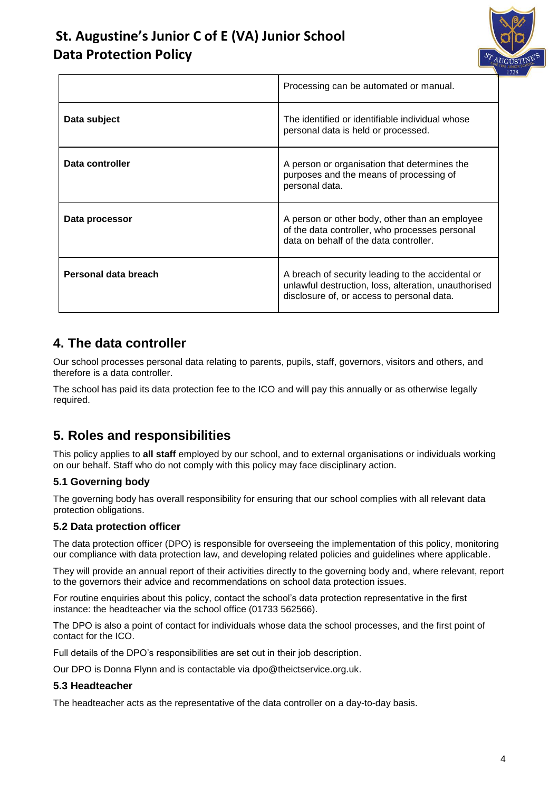

|                      | Processing can be automated or manual.                                                                                                                  |
|----------------------|---------------------------------------------------------------------------------------------------------------------------------------------------------|
| Data subject         | The identified or identifiable individual whose<br>personal data is held or processed.                                                                  |
| Data controller      | A person or organisation that determines the<br>purposes and the means of processing of<br>personal data.                                               |
| Data processor       | A person or other body, other than an employee<br>of the data controller, who processes personal<br>data on behalf of the data controller.              |
| Personal data breach | A breach of security leading to the accidental or<br>unlawful destruction, loss, alteration, unauthorised<br>disclosure of, or access to personal data. |

### **4. The data controller**

Our school processes personal data relating to parents, pupils, staff, governors, visitors and others, and therefore is a data controller.

The school has paid its data protection fee to the ICO and will pay this annually or as otherwise legally required.

# **5. Roles and responsibilities**

This policy applies to **all staff** employed by our school, and to external organisations or individuals working on our behalf. Staff who do not comply with this policy may face disciplinary action.

#### **5.1 Governing body**

The governing body has overall responsibility for ensuring that our school complies with all relevant data protection obligations.

#### **5.2 Data protection officer**

The data protection officer (DPO) is responsible for overseeing the implementation of this policy, monitoring our compliance with data protection law, and developing related policies and guidelines where applicable.

They will provide an annual report of their activities directly to the governing body and, where relevant, report to the governors their advice and recommendations on school data protection issues.

For routine enquiries about this policy, contact the school's data protection representative in the first instance: the headteacher via the school office (01733 562566).

The DPO is also a point of contact for individuals whose data the school processes, and the first point of contact for the ICO.

Full details of the DPO's responsibilities are set out in their job description.

Our DPO is Donna Flynn and is contactable via dpo@theictservice.org.uk.

#### **5.3 Headteacher**

The headteacher acts as the representative of the data controller on a day-to-day basis.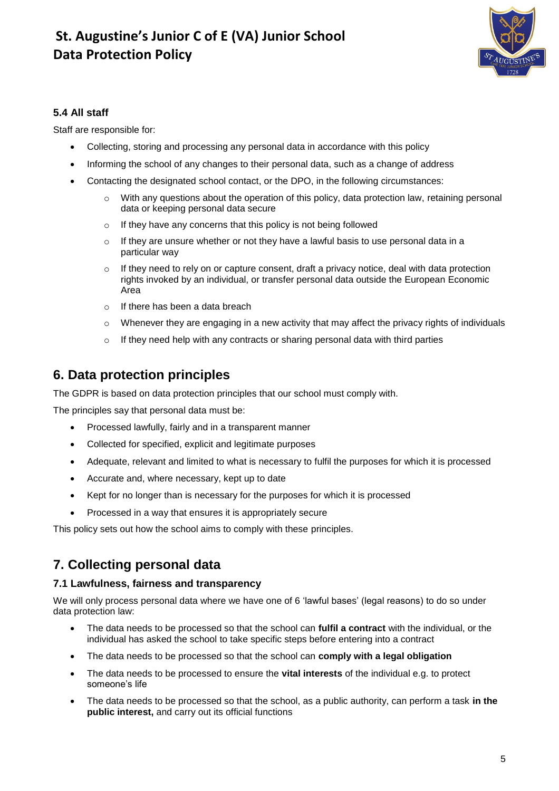

#### **5.4 All staff**

Staff are responsible for:

- Collecting, storing and processing any personal data in accordance with this policy
- Informing the school of any changes to their personal data, such as a change of address
- Contacting the designated school contact, or the DPO, in the following circumstances:
	- $\circ$  With any questions about the operation of this policy, data protection law, retaining personal data or keeping personal data secure
	- o If they have any concerns that this policy is not being followed
	- $\circ$  If they are unsure whether or not they have a lawful basis to use personal data in a particular way
	- $\circ$  If they need to rely on or capture consent, draft a privacy notice, deal with data protection rights invoked by an individual, or transfer personal data outside the European Economic Area
	- o If there has been a data breach
	- $\circ$  Whenever they are engaging in a new activity that may affect the privacy rights of individuals
	- $\circ$  If they need help with any contracts or sharing personal data with third parties

### **6. Data protection principles**

The GDPR is based on data protection principles that our school must comply with.

The principles say that personal data must be:

- Processed lawfully, fairly and in a transparent manner
- Collected for specified, explicit and legitimate purposes
- Adequate, relevant and limited to what is necessary to fulfil the purposes for which it is processed
- Accurate and, where necessary, kept up to date
- Kept for no longer than is necessary for the purposes for which it is processed
- Processed in a way that ensures it is appropriately secure

This policy sets out how the school aims to comply with these principles.

# **7. Collecting personal data**

#### **7.1 Lawfulness, fairness and transparency**

We will only process personal data where we have one of 6 'lawful bases' (legal reasons) to do so under data protection law:

- The data needs to be processed so that the school can **fulfil a contract** with the individual, or the individual has asked the school to take specific steps before entering into a contract
- The data needs to be processed so that the school can **comply with a legal obligation**
- The data needs to be processed to ensure the **vital interests** of the individual e.g. to protect someone's life
- The data needs to be processed so that the school, as a public authority, can perform a task **in the public interest,** and carry out its official functions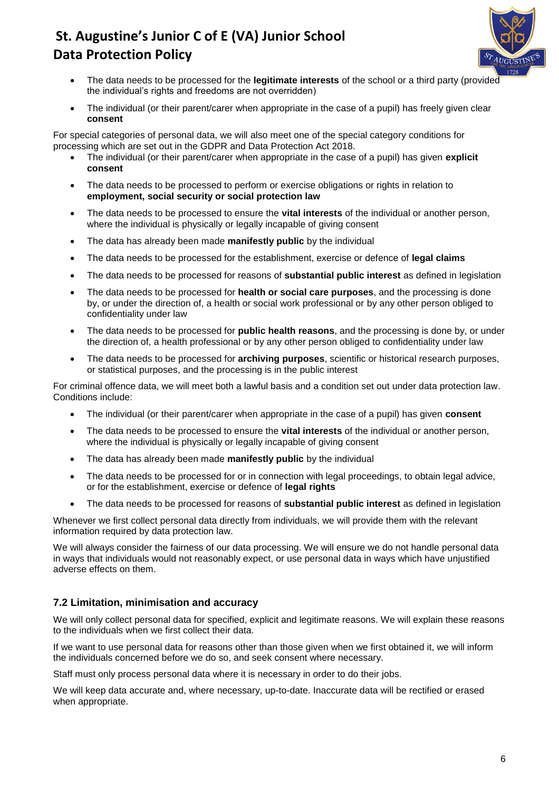

- The data needs to be processed for the **legitimate interests** of the school or a third party (provided the individual's rights and freedoms are not overridden)
- The individual (or their parent/carer when appropriate in the case of a pupil) has freely given clear **consent**

For special categories of personal data, we will also meet one of the special category conditions for processing which are set out in the GDPR and Data Protection Act 2018.

- The individual (or their parent/carer when appropriate in the case of a pupil) has given **explicit consent**
- The data needs to be processed to perform or exercise obligations or rights in relation to **employment, social security or social protection law**
- The data needs to be processed to ensure the **vital interests** of the individual or another person, where the individual is physically or legally incapable of giving consent
- The data has already been made **manifestly public** by the individual
- The data needs to be processed for the establishment, exercise or defence of **legal claims**
- The data needs to be processed for reasons of **substantial public interest** as defined in legislation
- The data needs to be processed for **health or social care purposes**, and the processing is done by, or under the direction of, a health or social work professional or by any other person obliged to confidentiality under law
- The data needs to be processed for **public health reasons**, and the processing is done by, or under the direction of, a health professional or by any other person obliged to confidentiality under law
- The data needs to be processed for **archiving purposes**, scientific or historical research purposes, or statistical purposes, and the processing is in the public interest

For criminal offence data, we will meet both a lawful basis and a condition set out under data protection law. Conditions include:

- The individual (or their parent/carer when appropriate in the case of a pupil) has given **consent**
- The data needs to be processed to ensure the **vital interests** of the individual or another person, where the individual is physically or legally incapable of giving consent
- The data has already been made **manifestly public** by the individual
- The data needs to be processed for or in connection with legal proceedings, to obtain legal advice, or for the establishment, exercise or defence of **legal rights**
- The data needs to be processed for reasons of **substantial public interest** as defined in legislation

Whenever we first collect personal data directly from individuals, we will provide them with the relevant information required by data protection law.

We will always consider the fairness of our data processing. We will ensure we do not handle personal data in ways that individuals would not reasonably expect, or use personal data in ways which have unjustified adverse effects on them.

#### **7.2 Limitation, minimisation and accuracy**

We will only collect personal data for specified, explicit and legitimate reasons. We will explain these reasons to the individuals when we first collect their data.

If we want to use personal data for reasons other than those given when we first obtained it, we will inform the individuals concerned before we do so, and seek consent where necessary.

Staff must only process personal data where it is necessary in order to do their jobs.

We will keep data accurate and, where necessary, up-to-date. Inaccurate data will be rectified or erased when appropriate.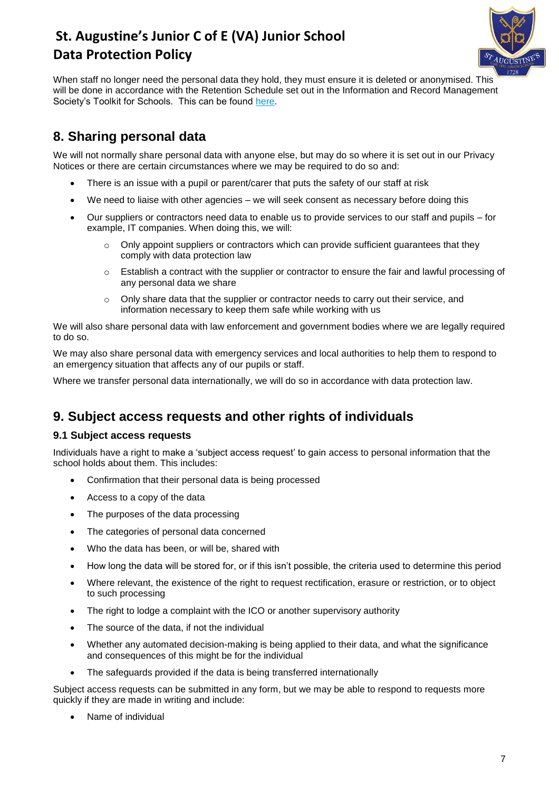

When staff no longer need the personal data they hold, they must ensure it is deleted or anonymised. This will be done in accordance with the Retention Schedule set out in the Information and Record Management Society's Toolkit for Schools. This can be found [here.](http://irms.org.uk/?page=schoolstoolkit&terms=%22toolkit+and+schools%22)

# **8. Sharing personal data**

We will not normally share personal data with anyone else, but may do so where it is set out in our Privacy Notices or there are certain circumstances where we may be required to do so and:

- There is an issue with a pupil or parent/carer that puts the safety of our staff at risk
- We need to liaise with other agencies we will seek consent as necessary before doing this
- Our suppliers or contractors need data to enable us to provide services to our staff and pupils for example, IT companies. When doing this, we will:
	- Only appoint suppliers or contractors which can provide sufficient guarantees that they comply with data protection law
	- o Establish a contract with the supplier or contractor to ensure the fair and lawful processing of any personal data we share
	- $\circ$  Only share data that the supplier or contractor needs to carry out their service, and information necessary to keep them safe while working with us

We will also share personal data with law enforcement and government bodies where we are legally required to do so.

We may also share personal data with emergency services and local authorities to help them to respond to an emergency situation that affects any of our pupils or staff.

Where we transfer personal data internationally, we will do so in accordance with data protection law.

# **9. Subject access requests and other rights of individuals**

#### **9.1 Subject access requests**

Individuals have a right to make a 'subject access request' to gain access to personal information that the school holds about them. This includes:

- Confirmation that their personal data is being processed
- Access to a copy of the data
- The purposes of the data processing
- The categories of personal data concerned
- Who the data has been, or will be, shared with
- How long the data will be stored for, or if this isn't possible, the criteria used to determine this period
- Where relevant, the existence of the right to request rectification, erasure or restriction, or to object to such processing
- The right to lodge a complaint with the ICO or another supervisory authority
- The source of the data, if not the individual
- Whether any automated decision-making is being applied to their data, and what the significance and consequences of this might be for the individual
- The safeguards provided if the data is being transferred internationally

Subject access requests can be submitted in any form, but we may be able to respond to requests more quickly if they are made in writing and include:

Name of individual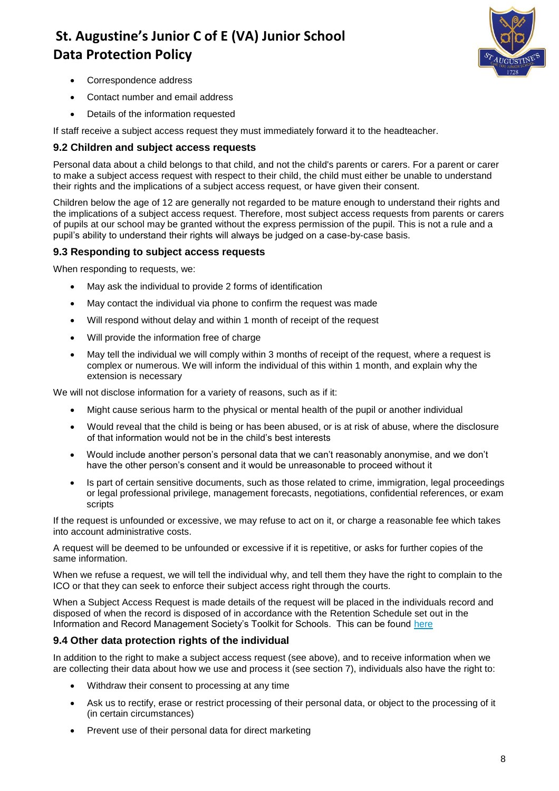

- Correspondence address
- Contact number and email address
- Details of the information requested

If staff receive a subject access request they must immediately forward it to the headteacher.

#### **9.2 Children and subject access requests**

Personal data about a child belongs to that child, and not the child's parents or carers. For a parent or carer to make a subject access request with respect to their child, the child must either be unable to understand their rights and the implications of a subject access request, or have given their consent.

Children below the age of 12 are generally not regarded to be mature enough to understand their rights and the implications of a subject access request. Therefore, most subject access requests from parents or carers of pupils at our school may be granted without the express permission of the pupil. This is not a rule and a pupil's ability to understand their rights will always be judged on a case-by-case basis.

#### **9.3 Responding to subject access requests**

When responding to requests, we:

- May ask the individual to provide 2 forms of identification
- May contact the individual via phone to confirm the request was made
- Will respond without delay and within 1 month of receipt of the request
- Will provide the information free of charge
- May tell the individual we will comply within 3 months of receipt of the request, where a request is complex or numerous. We will inform the individual of this within 1 month, and explain why the extension is necessary

We will not disclose information for a variety of reasons, such as if it:

- Might cause serious harm to the physical or mental health of the pupil or another individual
- Would reveal that the child is being or has been abused, or is at risk of abuse, where the disclosure of that information would not be in the child's best interests
- Would include another person's personal data that we can't reasonably anonymise, and we don't have the other person's consent and it would be unreasonable to proceed without it
- Is part of certain sensitive documents, such as those related to crime, immigration, legal proceedings or legal professional privilege, management forecasts, negotiations, confidential references, or exam scripts

If the request is unfounded or excessive, we may refuse to act on it, or charge a reasonable fee which takes into account administrative costs.

A request will be deemed to be unfounded or excessive if it is repetitive, or asks for further copies of the same information.

When we refuse a request, we will tell the individual why, and tell them they have the right to complain to the ICO or that they can seek to enforce their subject access right through the courts.

When a Subject Access Request is made details of the request will be placed in the individuals record and disposed of when the record is disposed of in accordance with the Retention Schedule set out in the Information and Record Management Society's Toolkit for Schools. This can be found [here](http://irms.org.uk/?page=schoolstoolkit&terms=%22toolkit+and+schools%22)

#### **9.4 Other data protection rights of the individual**

In addition to the right to make a subject access request (see above), and to receive information when we are collecting their data about how we use and process it (see section 7), individuals also have the right to:

- Withdraw their consent to processing at any time
- Ask us to rectify, erase or restrict processing of their personal data, or object to the processing of it (in certain circumstances)
- Prevent use of their personal data for direct marketing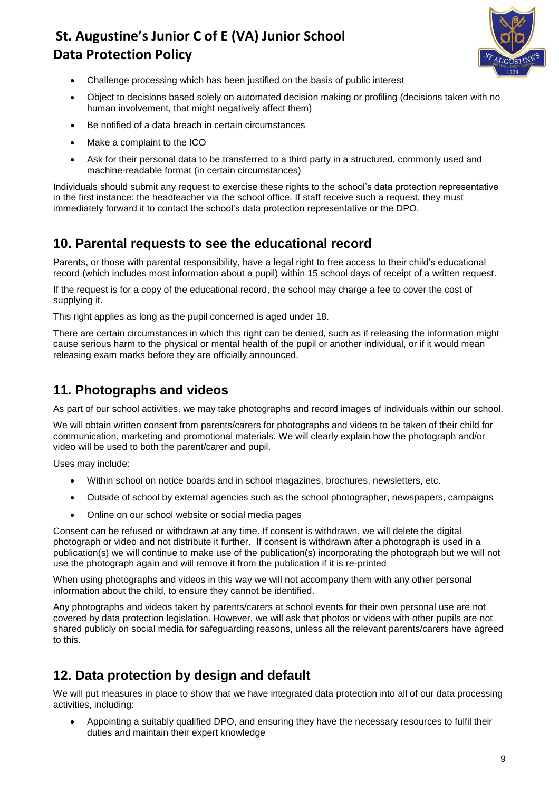

- Challenge processing which has been justified on the basis of public interest
- Object to decisions based solely on automated decision making or profiling (decisions taken with no human involvement, that might negatively affect them)
- Be notified of a data breach in certain circumstances
- Make a complaint to the ICO
- Ask for their personal data to be transferred to a third party in a structured, commonly used and machine-readable format (in certain circumstances)

Individuals should submit any request to exercise these rights to the school's data protection representative in the first instance: the headteacher via the school office. If staff receive such a request, they must immediately forward it to contact the school's data protection representative or the DPO.

### **10. Parental requests to see the educational record**

Parents, or those with parental responsibility, have a legal right to free access to their child's educational record (which includes most information about a pupil) within 15 school days of receipt of a written request.

If the request is for a copy of the educational record, the school may charge a fee to cover the cost of supplying it.

This right applies as long as the pupil concerned is aged under 18.

There are certain circumstances in which this right can be denied, such as if releasing the information might cause serious harm to the physical or mental health of the pupil or another individual, or if it would mean releasing exam marks before they are officially announced.

### **11. Photographs and videos**

As part of our school activities, we may take photographs and record images of individuals within our school.

We will obtain written consent from parents/carers for photographs and videos to be taken of their child for communication, marketing and promotional materials. We will clearly explain how the photograph and/or video will be used to both the parent/carer and pupil.

Uses may include:

- Within school on notice boards and in school magazines, brochures, newsletters, etc.
- Outside of school by external agencies such as the school photographer, newspapers, campaigns
- Online on our school website or social media pages

Consent can be refused or withdrawn at any time. If consent is withdrawn, we will delete the digital photograph or video and not distribute it further. If consent is withdrawn after a photograph is used in a publication(s) we will continue to make use of the publication(s) incorporating the photograph but we will not use the photograph again and will remove it from the publication if it is re-printed

When using photographs and videos in this way we will not accompany them with any other personal information about the child, to ensure they cannot be identified.

Any photographs and videos taken by parents/carers at school events for their own personal use are not covered by data protection legislation. However, we will ask that photos or videos with other pupils are not shared publicly on social media for safeguarding reasons, unless all the relevant parents/carers have agreed to this.

### **12. Data protection by design and default**

We will put measures in place to show that we have integrated data protection into all of our data processing activities, including:

 Appointing a suitably qualified DPO, and ensuring they have the necessary resources to fulfil their duties and maintain their expert knowledge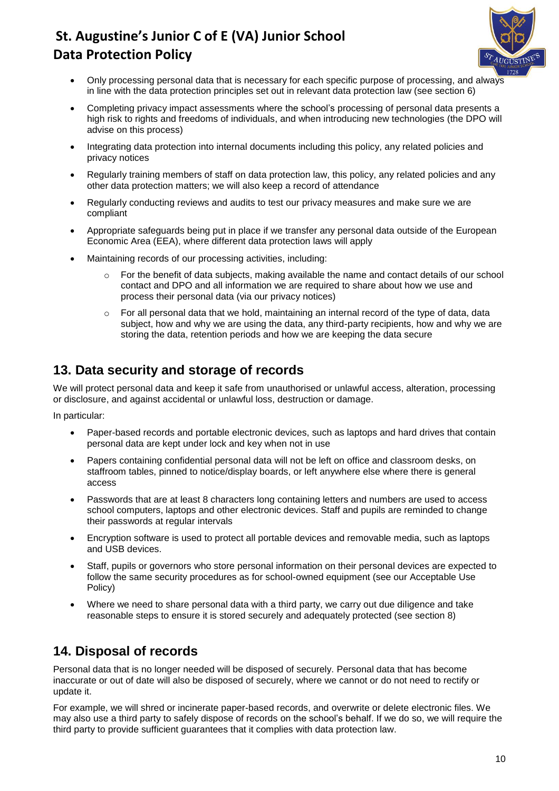

- Only processing personal data that is necessary for each specific purpose of processing, and always in line with the data protection principles set out in relevant data protection law (see section 6)
- Completing privacy impact assessments where the school's processing of personal data presents a high risk to rights and freedoms of individuals, and when introducing new technologies (the DPO will advise on this process)
- Integrating data protection into internal documents including this policy, any related policies and privacy notices
- Regularly training members of staff on data protection law, this policy, any related policies and any other data protection matters; we will also keep a record of attendance
- Regularly conducting reviews and audits to test our privacy measures and make sure we are compliant
- Appropriate safeguards being put in place if we transfer any personal data outside of the European Economic Area (EEA), where different data protection laws will apply
- Maintaining records of our processing activities, including:
	- o For the benefit of data subjects, making available the name and contact details of our school contact and DPO and all information we are required to share about how we use and process their personal data (via our privacy notices)
	- $\circ$  For all personal data that we hold, maintaining an internal record of the type of data, data subject, how and why we are using the data, any third-party recipients, how and why we are storing the data, retention periods and how we are keeping the data secure

### **13. Data security and storage of records**

We will protect personal data and keep it safe from unauthorised or unlawful access, alteration, processing or disclosure, and against accidental or unlawful loss, destruction or damage.

In particular:

- Paper-based records and portable electronic devices, such as laptops and hard drives that contain personal data are kept under lock and key when not in use
- Papers containing confidential personal data will not be left on office and classroom desks, on staffroom tables, pinned to notice/display boards, or left anywhere else where there is general access
- Passwords that are at least 8 characters long containing letters and numbers are used to access school computers, laptops and other electronic devices. Staff and pupils are reminded to change their passwords at regular intervals
- Encryption software is used to protect all portable devices and removable media, such as laptops and USB devices.
- Staff, pupils or governors who store personal information on their personal devices are expected to follow the same security procedures as for school-owned equipment (see our Acceptable Use Policy)
- Where we need to share personal data with a third party, we carry out due diligence and take reasonable steps to ensure it is stored securely and adequately protected (see section 8)

### **14. Disposal of records**

Personal data that is no longer needed will be disposed of securely. Personal data that has become inaccurate or out of date will also be disposed of securely, where we cannot or do not need to rectify or update it.

For example, we will shred or incinerate paper-based records, and overwrite or delete electronic files. We may also use a third party to safely dispose of records on the school's behalf. If we do so, we will require the third party to provide sufficient guarantees that it complies with data protection law.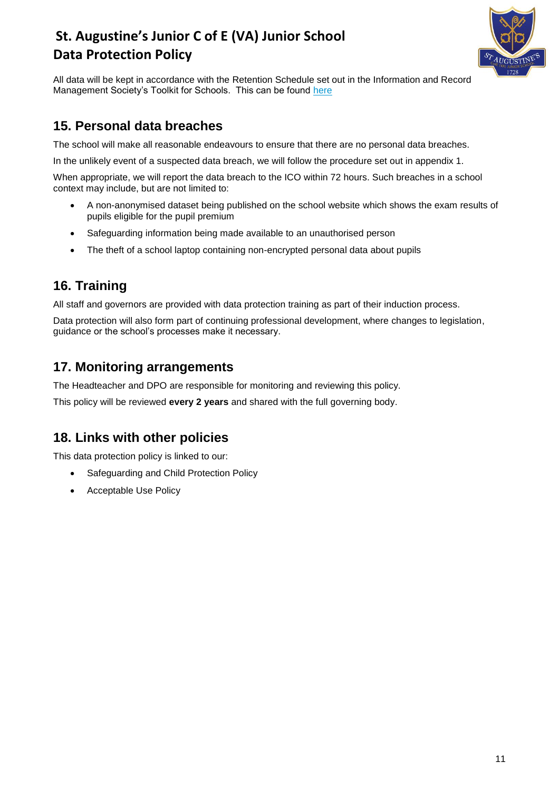

All data will be kept in accordance with the Retention Schedule set out in the Information and Record Management Society's Toolkit for Schools. This can be found [here](http://irms.org.uk/?page=schoolstoolkit&terms=%22toolkit+and+schools%22)

### **15. Personal data breaches**

The school will make all reasonable endeavours to ensure that there are no personal data breaches.

In the unlikely event of a suspected data breach, we will follow the procedure set out in appendix 1.

When appropriate, we will report the data breach to the ICO within 72 hours. Such breaches in a school context may include, but are not limited to:

- A non-anonymised dataset being published on the school website which shows the exam results of pupils eligible for the pupil premium
- Safeguarding information being made available to an unauthorised person
- The theft of a school laptop containing non-encrypted personal data about pupils

# **16. Training**

All staff and governors are provided with data protection training as part of their induction process.

Data protection will also form part of continuing professional development, where changes to legislation, guidance or the school's processes make it necessary.

### **17. Monitoring arrangements**

The Headteacher and DPO are responsible for monitoring and reviewing this policy.

This policy will be reviewed **every 2 years** and shared with the full governing body.

### **18. Links with other policies**

This data protection policy is linked to our:

- Safeguarding and Child Protection Policy
- Acceptable Use Policy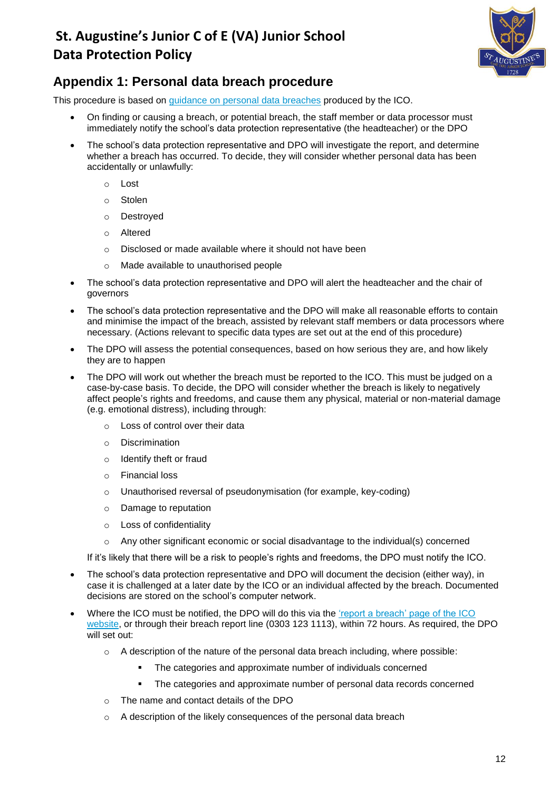

# **Appendix 1: Personal data breach procedure**

This procedure is based on [guidance on personal data breaches](https://ico.org.uk/for-organisations/guide-to-the-general-data-protection-regulation-gdpr/personal-data-breaches/) produced by the ICO.

- On finding or causing a breach, or potential breach, the staff member or data processor must immediately notify the school's data protection representative (the headteacher) or the DPO
- The school's data protection representative and DPO will investigate the report, and determine whether a breach has occurred. To decide, they will consider whether personal data has been accidentally or unlawfully:
	- o Lost
	- o Stolen
	- o Destroyed
	- o Altered
	- o Disclosed or made available where it should not have been
	- o Made available to unauthorised people
- The school's data protection representative and DPO will alert the headteacher and the chair of governors
- The school's data protection representative and the DPO will make all reasonable efforts to contain and minimise the impact of the breach, assisted by relevant staff members or data processors where necessary. (Actions relevant to specific data types are set out at the end of this procedure)
- The DPO will assess the potential consequences, based on how serious they are, and how likely they are to happen
- The DPO will work out whether the breach must be reported to the ICO. This must be judged on a case-by-case basis. To decide, the DPO will consider whether the breach is likely to negatively affect people's rights and freedoms, and cause them any physical, material or non-material damage (e.g. emotional distress), including through:
	- o Loss of control over their data
	- o Discrimination
	- o Identify theft or fraud
	- o Financial loss
	- $\circ$  Unauthorised reversal of pseudonymisation (for example, key-coding)
	- o Damage to reputation
	- o Loss of confidentiality
	- $\circ$  Any other significant economic or social disadvantage to the individual(s) concerned
	- If it's likely that there will be a risk to people's rights and freedoms, the DPO must notify the ICO.
- The school's data protection representative and DPO will document the decision (either way), in case it is challenged at a later date by the ICO or an individual affected by the breach. Documented decisions are stored on the school's computer network.
- Where the ICO must be notified, the DPO will do this via the 'report a breach' page of the ICO [website,](https://ico.org.uk/for-organisations/report-a-breach/) or through their breach report line (0303 123 1113), within 72 hours. As required, the DPO will set out:
	- $\circ$  A description of the nature of the personal data breach including, where possible:
		- The categories and approximate number of individuals concerned
		- The categories and approximate number of personal data records concerned
	- o The name and contact details of the DPO
	- o A description of the likely consequences of the personal data breach